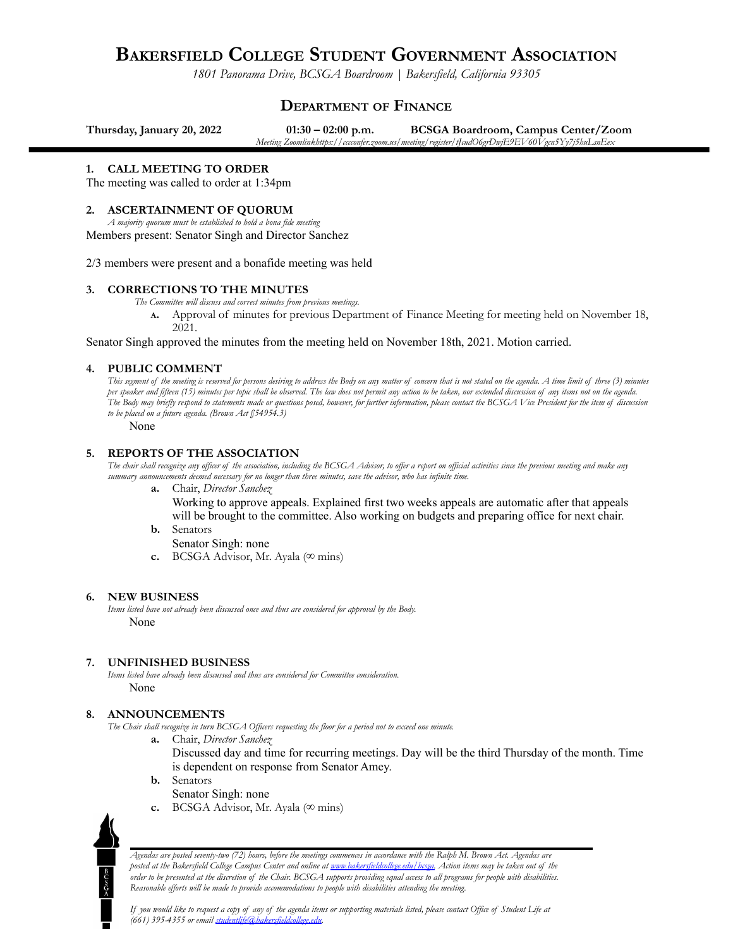# **BAKERSFIELD COLLEGE STUDENT GOVERNMENT ASSOCIATION**

*1801 Panorama Drive, BCSGA Boardroom | Bakersfield, California 93305*

# **DEPARTMENT OF FINANCE**

**Thursday, January 20, 2022 01:30 – 02:00 p.m. BCSGA Boardroom, Campus Center/Zoom** *Meeting Zoomlinkhttps://cccconfer.zoom.us/meeting/register/tJcudO6grDwjE9EV60Vgcn5Yy7j5huLsnEex*

### **1. CALL MEETING TO ORDER**

The meeting was called to order at 1:34pm

# **2. ASCERTAINMENT OF QUORUM**

*A majority quorum must be established to hold a bona fide meeting* Members present: Senator Singh and Director Sanchez

2/3 members were present and a bonafide meeting was held

### **3. CORRECTIONS TO THE MINUTES**

*The Committee will discuss and correct minutes from previous meetings.*

**<sup>A</sup>.** Approval of minutes for previous Department of Finance Meeting for meeting held on November 18, 2021.

Senator Singh approved the minutes from the meeting held on November 18th, 2021. Motion carried.

# **4. PUBLIC COMMENT**

This segment of the meeting is reserved for persons desiring to address the Body on any matter of concern that is not stated on the agenda. A time limit of three (3) minutes per speaker and fifteen (15) minutes per topic shall be observed. The law does not permit any action to be taken, nor extended discussion of any items not on the agenda. The Body may briefly respond to statements made or questions posed, however, for further information, please contact the BCSGA Vice President for the item of discussion *to be placed on a future agenda. (Brown Act §54954.3)*

None

#### **5. REPORTS OF THE ASSOCIATION**

The chair shall recognize any officer of the association, including the BCSGA Advisor, to offer a report on official activities since the previous meeting and make any summary announcements deemed necessary for no longer than three minutes, save the advisor, who has infinite time.

**a.** Chair, *Director Sanchez*

Working to approve appeals. Explained first two weeks appeals are automatic after that appeals will be brought to the committee. Also working on budgets and preparing office for next chair.

**b.** Senators

Senator Singh: none

**c.** BCSGA Advisor, Mr. Ayala ( $\infty$  mins)

#### **6. NEW BUSINESS**

*Items listed have not already been discussed once and thus are considered for approval by the Body.* None

# **7. UNFINISHED BUSINESS**

*Items listed have already been discussed and thus are considered for Committee consideration.* None

# **8. ANNOUNCEMENTS**

The Chair shall recognize in turn BCSGA Officers requesting the floor for a period not to exceed one minute.

**a.** Chair, *Director Sanchez*

Discussed day and time for recurring meetings. Day will be the third Thursday of the month. Time is dependent on response from Senator Amey.

- **b.** Senators
	- Senator Singh: none
- **c.** BCSGA Advisor, Mr. Ayala ( $\infty$  mins)



Agendas are posted seventy-two (72) hours, before the meetings commences in accordance with the Ralph M. Brown Act. Agendas are posted at the Bakersfield College Campus Center and online at www.bakersfieldcollege.edul bcspa. Action items may be taken out of the .<br>order to be presented at the discretion of the Chair. BCSGA supports providing equal access to all programs for people with disabilities. *Reasonable ef orts will be made to provide accommodations to people with disabilities attending the meeting.*